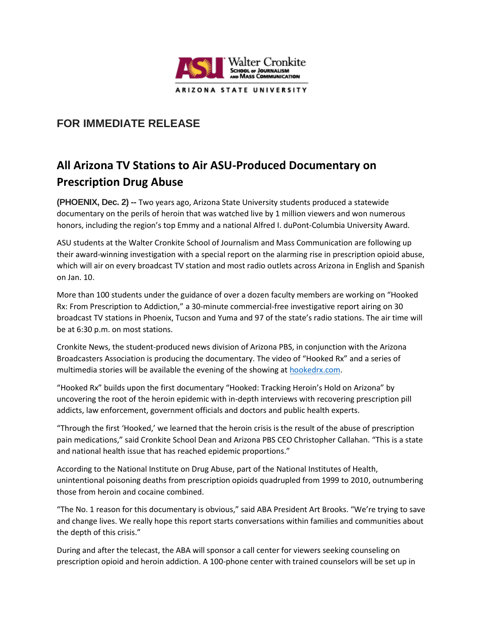

## **FOR IMMEDIATE RELEASE**

## **All Arizona TV Stations to Air ASU-Produced Documentary on Prescription Drug Abuse**

**(PHOENIX, Dec. 2) --** Two years ago, Arizona State University students produced a statewide documentary on the perils of heroin that was watched live by 1 million viewers and won numerous honors, including the region's top Emmy and a national Alfred I. duPont-Columbia University Award.

ASU students at the Walter Cronkite School of Journalism and Mass Communication are following up their award-winning investigation with a special report on the alarming rise in prescription opioid abuse, which will air on every broadcast TV station and most radio outlets across Arizona in English and Spanish on Jan. 10.

More than 100 students under the guidance of over a dozen faculty members are working on "Hooked Rx: From Prescription to Addiction," a 30-minute commercial-free investigative report airing on 30 broadcast TV stations in Phoenix, Tucson and Yuma and 97 of the state's radio stations. The air time will be at 6:30 p.m. on most stations.

Cronkite News, the student-produced news division of Arizona PBS, in conjunction with the Arizona Broadcasters Association is producing the documentary. The video of "Hooked Rx" and a series of multimedia stories will be available the evening of the showing at [hookedrx.com.](http://hookedrx.com/)

"Hooked Rx" builds upon the first documentary "Hooked: Tracking Heroin's Hold on Arizona" by uncovering the root of the heroin epidemic with in-depth interviews with recovering prescription pill addicts, law enforcement, government officials and doctors and public health experts.

"Through the first 'Hooked,' we learned that the heroin crisis is the result of the abuse of prescription pain medications," said Cronkite School Dean and Arizona PBS CEO Christopher Callahan. "This is a state and national health issue that has reached epidemic proportions."

According to the National Institute on Drug Abuse, part of the National Institutes of Health, unintentional poisoning deaths from prescription opioids quadrupled from 1999 to 2010, outnumbering those from heroin and cocaine combined.

"The No. 1 reason for this documentary is obvious," said ABA President Art Brooks. "We're trying to save and change lives. We really hope this report starts conversations within families and communities about the depth of this crisis."

During and after the telecast, the ABA will sponsor a call center for viewers seeking counseling on prescription opioid and heroin addiction. A 100-phone center with trained counselors will be set up in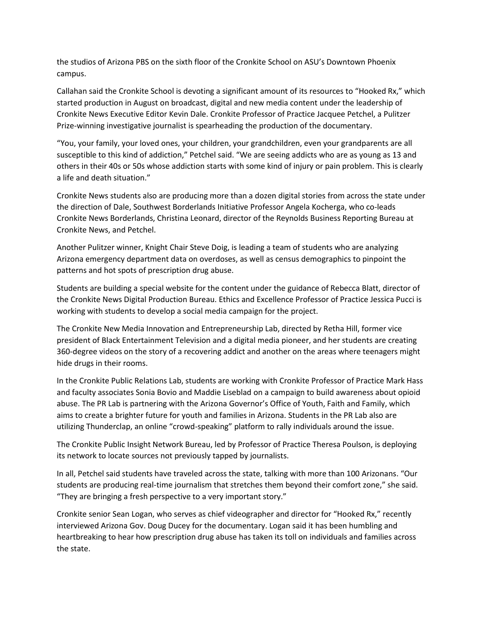the studios of Arizona PBS on the sixth floor of the Cronkite School on ASU's Downtown Phoenix campus.

Callahan said the Cronkite School is devoting a significant amount of its resources to "Hooked Rx," which started production in August on broadcast, digital and new media content under the leadership of Cronkite News Executive Editor Kevin Dale. Cronkite Professor of Practice Jacquee Petchel, a Pulitzer Prize-winning investigative journalist is spearheading the production of the documentary.

"You, your family, your loved ones, your children, your grandchildren, even your grandparents are all susceptible to this kind of addiction," Petchel said. "We are seeing addicts who are as young as 13 and others in their 40s or 50s whose addiction starts with some kind of injury or pain problem. This is clearly a life and death situation."

Cronkite News students also are producing more than a dozen digital stories from across the state under the direction of Dale, Southwest Borderlands Initiative Professor Angela Kocherga, who co-leads Cronkite News Borderlands, Christina Leonard, director of the Reynolds Business Reporting Bureau at Cronkite News, and Petchel.

Another Pulitzer winner, Knight Chair Steve Doig, is leading a team of students who are analyzing Arizona emergency department data on overdoses, as well as census demographics to pinpoint the patterns and hot spots of prescription drug abuse.

Students are building a special website for the content under the guidance of Rebecca Blatt, director of the Cronkite News Digital Production Bureau. Ethics and Excellence Professor of Practice Jessica Pucci is working with students to develop a social media campaign for the project.

The Cronkite New Media Innovation and Entrepreneurship Lab, directed by Retha Hill, former vice president of Black Entertainment Television and a digital media pioneer, and her students are creating 360-degree videos on the story of a recovering addict and another on the areas where teenagers might hide drugs in their rooms.

In the Cronkite Public Relations Lab, students are working with Cronkite Professor of Practice Mark Hass and faculty associates Sonia Bovio and Maddie Liseblad on a campaign to build awareness about opioid abuse. The PR Lab is partnering with the Arizona Governor's Office of Youth, Faith and Family, which aims to create a brighter future for youth and families in Arizona. Students in the PR Lab also are utilizing Thunderclap, an online "crowd-speaking" platform to rally individuals around the issue.

The Cronkite Public Insight Network Bureau, led by Professor of Practice Theresa Poulson, is deploying its network to locate sources not previously tapped by journalists.

In all, Petchel said students have traveled across the state, talking with more than 100 Arizonans. "Our students are producing real-time journalism that stretches them beyond their comfort zone," she said. "They are bringing a fresh perspective to a very important story."

Cronkite senior Sean Logan, who serves as chief videographer and director for "Hooked Rx," recently interviewed Arizona Gov. Doug Ducey for the documentary. Logan said it has been humbling and heartbreaking to hear how prescription drug abuse has taken its toll on individuals and families across the state.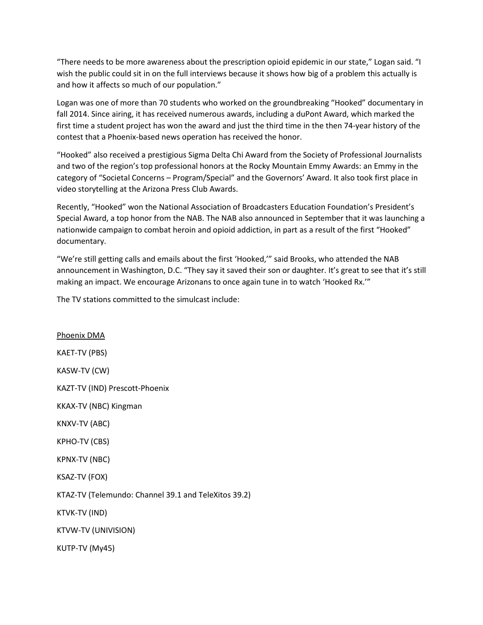"There needs to be more awareness about the prescription opioid epidemic in our state," Logan said. "I wish the public could sit in on the full interviews because it shows how big of a problem this actually is and how it affects so much of our population."

Logan was one of more than 70 students who worked on the groundbreaking "Hooked" documentary in fall 2014. Since airing, it has received numerous awards, including a duPont Award, which marked the first time a student project has won the award and just the third time in the then 74-year history of the contest that a Phoenix-based news operation has received the honor.

"Hooked" also received a prestigious Sigma Delta Chi Award from the Society of Professional Journalists and two of the region's top professional honors at the Rocky Mountain Emmy Awards: an Emmy in the category of "Societal Concerns – Program/Special" and the Governors' Award. It also took first place in video storytelling at the Arizona Press Club Awards.

Recently, "Hooked" won the National Association of Broadcasters Education Foundation's President's Special Award, a top honor from the NAB. The NAB also announced in September that it was launching a nationwide campaign to combat heroin and opioid addiction, in part as a result of the first "Hooked" documentary.

"We're still getting calls and emails about the first 'Hooked,'" said Brooks, who attended the NAB announcement in Washington, D.C. "They say it saved their son or daughter. It's great to see that it's still making an impact. We encourage Arizonans to once again tune in to watch 'Hooked Rx.'"

The TV stations committed to the simulcast include:

Phoenix DMA KAET-TV (PBS) KASW-TV (CW) KAZT-TV (IND) Prescott-Phoenix KKAX-TV (NBC) Kingman KNXV-TV (ABC) KPHO-TV (CBS) KPNX-TV (NBC) KSAZ-TV (FOX) KTAZ-TV (Telemundo: Channel 39.1 and TeleXitos 39.2) KTVK-TV (IND) KTVW-TV (UNIVISION) KUTP-TV (My45)